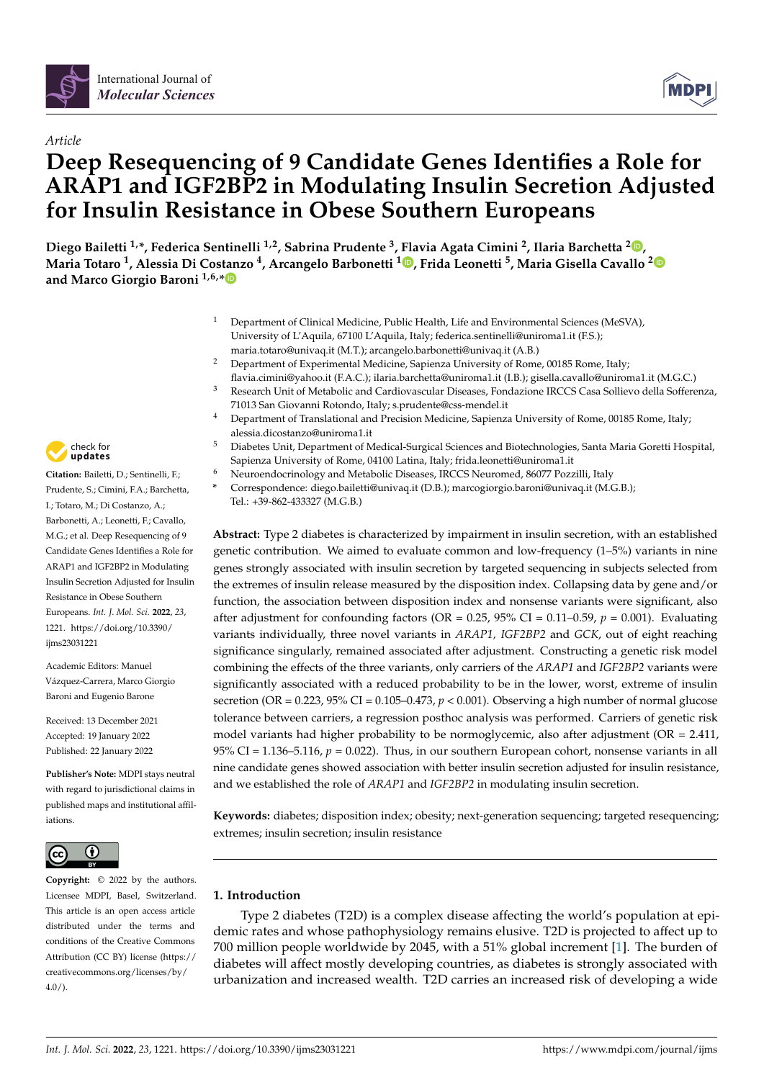



# *Article* **Deep Resequencing of 9 Candidate Genes Identifies a Role for ARAP1 and IGF2BP2 in Modulating Insulin Secretion Adjusted for Insulin Resistance in Obese Southern Europeans**

**Diego Bailetti 1,\*, Federica Sentinelli 1,2, Sabrina Prudente <sup>3</sup> , Flavia Agata Cimini <sup>2</sup> , Ilaria Barchetta <sup>2</sup> [,](https://orcid.org/0000-0003-0530-8568) Maria Totaro <sup>1</sup> , Alessia Di Costanzo <sup>4</sup> , Arcangelo Barbonetti [1](https://orcid.org/0000-0002-6888-9585) , Frida Leonetti <sup>5</sup> , Maria Gisella Cavallo [2](https://orcid.org/0000-0001-6630-8049) and Marco Giorgio Baroni 1,6,[\\*](https://orcid.org/0000-0002-3224-6078)**

- <sup>1</sup> Department of Clinical Medicine, Public Health, Life and Environmental Sciences (MeSVA), University of L'Aquila, 67100 L'Aquila, Italy; federica.sentinelli@uniroma1.it (F.S.); maria.totaro@univaq.it (M.T.); arcangelo.barbonetti@univaq.it (A.B.)
- <sup>2</sup> Department of Experimental Medicine, Sapienza University of Rome, 00185 Rome, Italy; flavia.cimini@yahoo.it (F.A.C.); ilaria.barchetta@uniroma1.it (I.B.); gisella.cavallo@uniroma1.it (M.G.C.)
- <sup>3</sup> Research Unit of Metabolic and Cardiovascular Diseases, Fondazione IRCCS Casa Sollievo della Sofferenza, 71013 San Giovanni Rotondo, Italy; s.prudente@css-mendel.it
- <sup>4</sup> Department of Translational and Precision Medicine, Sapienza University of Rome, 00185 Rome, Italy; alessia.dicostanzo@uniroma1.it
- <sup>5</sup> Diabetes Unit, Department of Medical-Surgical Sciences and Biotechnologies, Santa Maria Goretti Hospital, Sapienza University of Rome, 04100 Latina, Italy; frida.leonetti@uniroma1.it
- <sup>6</sup> Neuroendocrinology and Metabolic Diseases, IRCCS Neuromed, 86077 Pozzilli, Italy
- **\*** Correspondence: diego.bailetti@univaq.it (D.B.); marcogiorgio.baroni@univaq.it (M.G.B.); Tel.: +39-862-433327 (M.G.B.)

**Abstract:** Type 2 diabetes is characterized by impairment in insulin secretion, with an established genetic contribution. We aimed to evaluate common and low-frequency (1–5%) variants in nine genes strongly associated with insulin secretion by targeted sequencing in subjects selected from the extremes of insulin release measured by the disposition index. Collapsing data by gene and/or function, the association between disposition index and nonsense variants were significant, also after adjustment for confounding factors (OR =  $0.25$ ,  $95\%$  CI =  $0.11$ – $0.59$ ,  $p = 0.001$ ). Evaluating variants individually, three novel variants in *ARAP1, IGF2BP2* and *GCK*, out of eight reaching significance singularly, remained associated after adjustment. Constructing a genetic risk model combining the effects of the three variants, only carriers of the *ARAP1* and *IGF2BP2* variants were significantly associated with a reduced probability to be in the lower, worst, extreme of insulin secretion (OR =  $0.223$ ,  $95\%$  CI =  $0.105$ –0.473,  $p < 0.001$ ). Observing a high number of normal glucose tolerance between carriers, a regression posthoc analysis was performed. Carriers of genetic risk model variants had higher probability to be normoglycemic, also after adjustment (OR = 2.411, 95% CI = 1.136–5.116,  $p = 0.022$ ). Thus, in our southern European cohort, nonsense variants in all nine candidate genes showed association with better insulin secretion adjusted for insulin resistance, and we established the role of *ARAP1* and *IGF2BP2* in modulating insulin secretion.

**Keywords:** diabetes; disposition index; obesity; next-generation sequencing; targeted resequencing; extremes; insulin secretion; insulin resistance

# **1. Introduction**

Type 2 diabetes (T2D) is a complex disease affecting the world's population at epidemic rates and whose pathophysiology remains elusive. T2D is projected to affect up to 700 million people worldwide by 2045, with a 51% global increment [\[1\]](#page-10-0). The burden of diabetes will affect mostly developing countries, as diabetes is strongly associated with urbanization and increased wealth. T2D carries an increased risk of developing a wide



**Citation:** Bailetti, D.; Sentinelli, F.; Prudente, S.; Cimini, F.A.; Barchetta, I.; Totaro, M.; Di Costanzo, A.; Barbonetti, A.; Leonetti, F.; Cavallo, M.G.; et al. Deep Resequencing of 9 Candidate Genes Identifies a Role for ARAP1 and IGF2BP2 in Modulating Insulin Secretion Adjusted for Insulin Resistance in Obese Southern Europeans. *Int. J. Mol. Sci.* **2022**, *23*, 1221. [https://doi.org/10.3390/](https://doi.org/10.3390/ijms23031221) [ijms23031221](https://doi.org/10.3390/ijms23031221)

Academic Editors: Manuel Vázquez-Carrera, Marco Giorgio Baroni and Eugenio Barone

Received: 13 December 2021 Accepted: 19 January 2022 Published: 22 January 2022

**Publisher's Note:** MDPI stays neutral with regard to jurisdictional claims in published maps and institutional affiliations.



**Copyright:** © 2022 by the authors. Licensee MDPI, Basel, Switzerland. This article is an open access article distributed under the terms and conditions of the Creative Commons Attribution (CC BY) license [\(https://](https://creativecommons.org/licenses/by/4.0/) [creativecommons.org/licenses/by/](https://creativecommons.org/licenses/by/4.0/)  $4.0/$ ).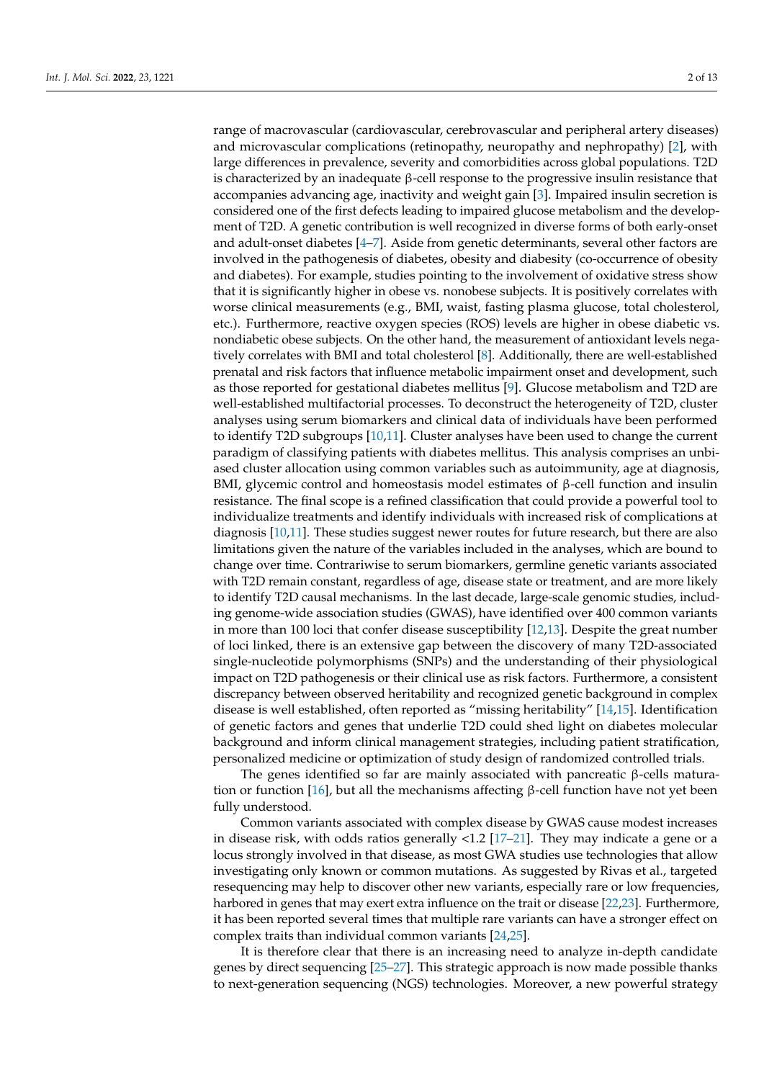range of macrovascular (cardiovascular, cerebrovascular and peripheral artery diseases) and microvascular complications (retinopathy, neuropathy and nephropathy) [\[2\]](#page-10-1), with large differences in prevalence, severity and comorbidities across global populations. T2D is characterized by an inadequate β-cell response to the progressive insulin resistance that accompanies advancing age, inactivity and weight gain [\[3\]](#page-10-2). Impaired insulin secretion is considered one of the first defects leading to impaired glucose metabolism and the development of T2D. A genetic contribution is well recognized in diverse forms of both early-onset and adult-onset diabetes [\[4–](#page-10-3)[7\]](#page-10-4). Aside from genetic determinants, several other factors are involved in the pathogenesis of diabetes, obesity and diabesity (co-occurrence of obesity and diabetes). For example, studies pointing to the involvement of oxidative stress show that it is significantly higher in obese vs. nonobese subjects. It is positively correlates with worse clinical measurements (e.g., BMI, waist, fasting plasma glucose, total cholesterol, etc.). Furthermore, reactive oxygen species (ROS) levels are higher in obese diabetic vs. nondiabetic obese subjects. On the other hand, the measurement of antioxidant levels negatively correlates with BMI and total cholesterol [\[8\]](#page-10-5). Additionally, there are well-established prenatal and risk factors that influence metabolic impairment onset and development, such as those reported for gestational diabetes mellitus [\[9\]](#page-10-6). Glucose metabolism and T2D are well-established multifactorial processes. To deconstruct the heterogeneity of T2D, cluster analyses using serum biomarkers and clinical data of individuals have been performed to identify T2D subgroups [\[10,](#page-10-7)[11\]](#page-10-8). Cluster analyses have been used to change the current paradigm of classifying patients with diabetes mellitus. This analysis comprises an unbiased cluster allocation using common variables such as autoimmunity, age at diagnosis, BMI, glycemic control and homeostasis model estimates of β-cell function and insulin resistance. The final scope is a refined classification that could provide a powerful tool to individualize treatments and identify individuals with increased risk of complications at diagnosis [\[10](#page-10-7)[,11\]](#page-10-8). These studies suggest newer routes for future research, but there are also limitations given the nature of the variables included in the analyses, which are bound to change over time. Contrariwise to serum biomarkers, germline genetic variants associated with T2D remain constant, regardless of age, disease state or treatment, and are more likely to identify T2D causal mechanisms. In the last decade, large-scale genomic studies, including genome-wide association studies (GWAS), have identified over 400 common variants in more than 100 loci that confer disease susceptibility [\[12](#page-10-9)[,13\]](#page-10-10). Despite the great number of loci linked, there is an extensive gap between the discovery of many T2D-associated single-nucleotide polymorphisms (SNPs) and the understanding of their physiological impact on T2D pathogenesis or their clinical use as risk factors. Furthermore, a consistent discrepancy between observed heritability and recognized genetic background in complex disease is well established, often reported as "missing heritability" [\[14,](#page-10-11)[15\]](#page-10-12). Identification of genetic factors and genes that underlie T2D could shed light on diabetes molecular background and inform clinical management strategies, including patient stratification, personalized medicine or optimization of study design of randomized controlled trials.

The genes identified so far are mainly associated with pancreatic β-cells matura-tion or function [\[16\]](#page-10-13), but all the mechanisms affecting β-cell function have not yet been fully understood.

Common variants associated with complex disease by GWAS cause modest increases in disease risk, with odds ratios generally <1.2 [\[17](#page-10-14)[–21\]](#page-10-15). They may indicate a gene or a locus strongly involved in that disease, as most GWA studies use technologies that allow investigating only known or common mutations. As suggested by Rivas et al., targeted resequencing may help to discover other new variants, especially rare or low frequencies, harbored in genes that may exert extra influence on the trait or disease [\[22,](#page-11-0)[23\]](#page-11-1). Furthermore, it has been reported several times that multiple rare variants can have a stronger effect on complex traits than individual common variants [\[24,](#page-11-2)[25\]](#page-11-3).

It is therefore clear that there is an increasing need to analyze in-depth candidate genes by direct sequencing [\[25–](#page-11-3)[27\]](#page-11-4). This strategic approach is now made possible thanks to next-generation sequencing (NGS) technologies. Moreover, a new powerful strategy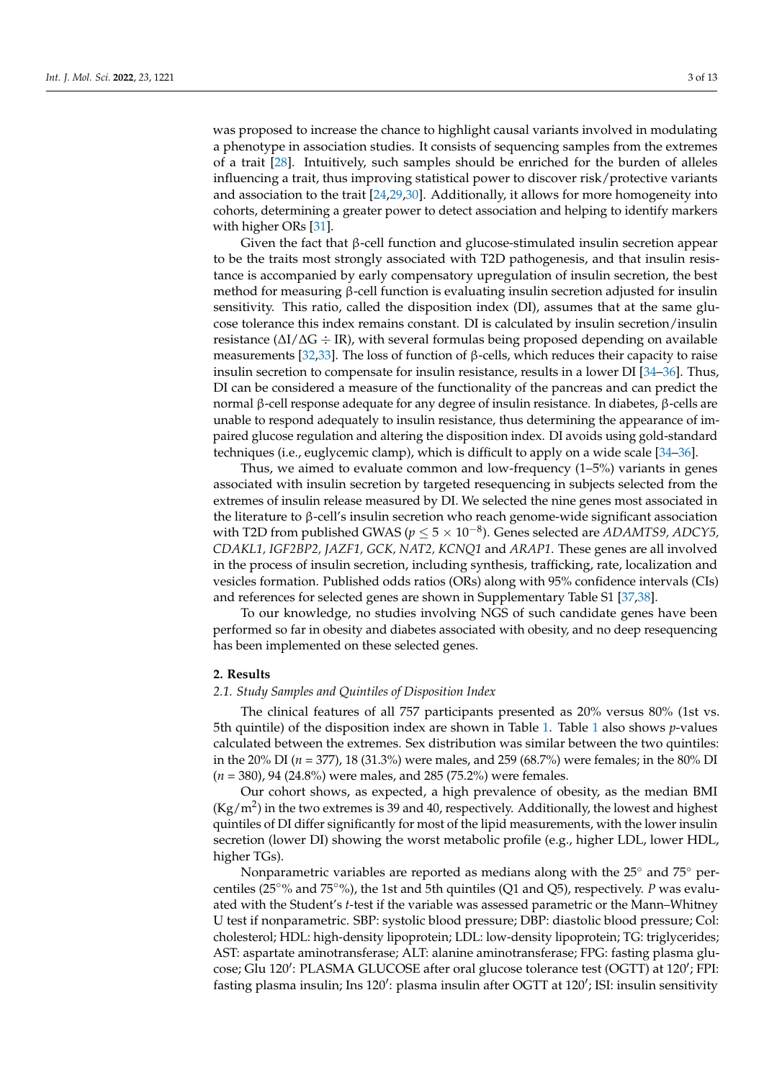was proposed to increase the chance to highlight causal variants involved in modulating a phenotype in association studies. It consists of sequencing samples from the extremes of a trait [\[28\]](#page-11-5). Intuitively, such samples should be enriched for the burden of alleles influencing a trait, thus improving statistical power to discover risk/protective variants and association to the trait [\[24](#page-11-2)[,29](#page-11-6)[,30\]](#page-11-7). Additionally, it allows for more homogeneity into cohorts, determining a greater power to detect association and helping to identify markers with higher ORs [\[31\]](#page-11-8).

Given the fact that β-cell function and glucose-stimulated insulin secretion appear to be the traits most strongly associated with T2D pathogenesis, and that insulin resistance is accompanied by early compensatory upregulation of insulin secretion, the best method for measuring β-cell function is evaluating insulin secretion adjusted for insulin sensitivity. This ratio, called the disposition index (DI), assumes that at the same glucose tolerance this index remains constant. DI is calculated by insulin secretion/insulin resistance (∆I/∆G ÷ IR), with several formulas being proposed depending on available measurements [\[32,](#page-11-9)[33\]](#page-11-10). The loss of function of  $\beta$ -cells, which reduces their capacity to raise insulin secretion to compensate for insulin resistance, results in a lower DI [\[34–](#page-11-11)[36\]](#page-11-12). Thus, DI can be considered a measure of the functionality of the pancreas and can predict the normal β-cell response adequate for any degree of insulin resistance. In diabetes, β-cells are unable to respond adequately to insulin resistance, thus determining the appearance of impaired glucose regulation and altering the disposition index. DI avoids using gold-standard techniques (i.e., euglycemic clamp), which is difficult to apply on a wide scale [\[34–](#page-11-11)[36\]](#page-11-12).

Thus, we aimed to evaluate common and low-frequency (1–5%) variants in genes associated with insulin secretion by targeted resequencing in subjects selected from the extremes of insulin release measured by DI. We selected the nine genes most associated in the literature to β-cell's insulin secretion who reach genome-wide significant association with T2D from published GWAS (*p* ≤ 5 × 10−<sup>8</sup> ). Genes selected are *ADAMTS9, ADCY5, CDAKL1, IGF2BP2, JAZF1, GCK, NAT2, KCNQ1* and *ARAP1*. These genes are all involved in the process of insulin secretion, including synthesis, trafficking, rate, localization and vesicles formation. Published odds ratios (ORs) along with 95% confidence intervals (CIs) and references for selected genes are shown in Supplementary Table S1 [\[37,](#page-11-13)[38\]](#page-11-14).

To our knowledge, no studies involving NGS of such candidate genes have been performed so far in obesity and diabetes associated with obesity, and no deep resequencing has been implemented on these selected genes.

## **2. Results**

# *2.1. Study Samples and Quintiles of Disposition Index*

The clinical features of all 757 participants presented as 20% versus 80% (1st vs. 5th quintile) of the disposition index are shown in Table [1.](#page-3-0) Table [1](#page-3-0) also shows *p*-values calculated between the extremes. Sex distribution was similar between the two quintiles: in the 20% DI (*n* = 377), 18 (31.3%) were males, and 259 (68.7%) were females; in the 80% DI (*n* = 380), 94 (24.8%) were males, and 285 (75.2%) were females.

Our cohort shows, as expected, a high prevalence of obesity, as the median BMI  $(Kg/m<sup>2</sup>)$  in the two extremes is 39 and 40, respectively. Additionally, the lowest and highest quintiles of DI differ significantly for most of the lipid measurements, with the lower insulin secretion (lower DI) showing the worst metabolic profile (e.g., higher LDL, lower HDL, higher TGs).

Nonparametric variables are reported as medians along with the 25◦ and 75◦ percentiles (25◦% and 75◦%), the 1st and 5th quintiles (Q1 and Q5), respectively. *P* was evaluated with the Student's *t*-test if the variable was assessed parametric or the Mann–Whitney U test if nonparametric. SBP: systolic blood pressure; DBP: diastolic blood pressure; Col: cholesterol; HDL: high-density lipoprotein; LDL: low-density lipoprotein; TG: triglycerides; AST: aspartate aminotransferase; ALT: alanine aminotransferase; FPG: fasting plasma glucose; Glu 120': PLASMA GLUCOSE after oral glucose tolerance test (OGTT) at 120'; FPI: fasting plasma insulin; Ins 120': plasma insulin after OGTT at 120'; ISI: insulin sensitivity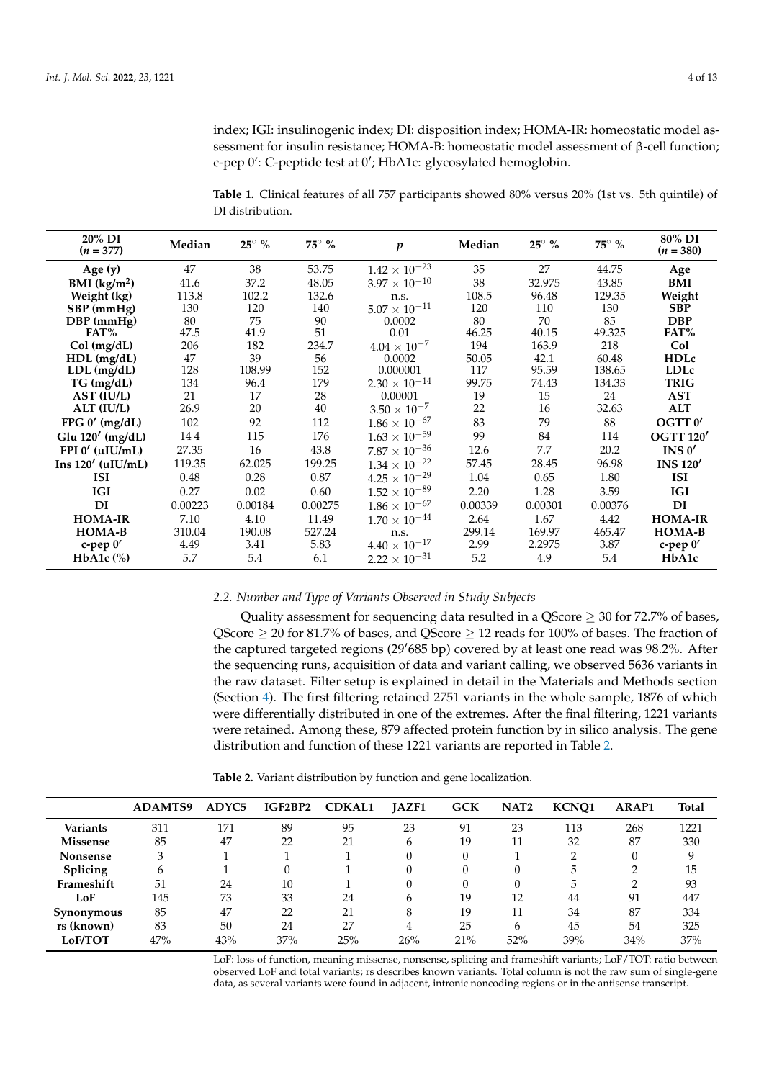index; IGI: insulinogenic index; DI: disposition index; HOMA-IR: homeostatic model assessment for insulin resistance; HOMA-B: homeostatic model assessment of β-cell function; c-pep 0': C-peptide test at 0'; HbA1c: glycosylated hemoglobin.

<span id="page-3-0"></span>**Table 1.** Clinical features of all 757 participants showed 80% versus 20% (1st vs. 5th quintile) of DI distribution.

| 20% DI<br>$(n = 377)$     | Median  | $25^{\circ}$ % | $75^{\circ}$ % | p                      | Median  | $25^{\circ}$ % | $75^\circ$ % | 80% DI<br>$(n = 380)$ |
|---------------------------|---------|----------------|----------------|------------------------|---------|----------------|--------------|-----------------------|
| Age $(y)$                 | 47      | 38             | 53.75          | $1.42 \times 10^{-23}$ | 35      | 27             | 44.75        | Age                   |
| BMI $(kg/m2)$             | 41.6    | 37.2           | 48.05          | $3.97 \times 10^{-10}$ | 38      | 32.975         | 43.85        | BMI                   |
| Weight (kg)               | 113.8   | 102.2          | 132.6          | n.s.                   | 108.5   | 96.48          | 129.35       | Weight                |
| SBP (mmHg)                | 130     | 120            | 140            | $5.07\times10^{-11}$   | 120     | 110            | 130          | <b>SBP</b>            |
| DBP (mmHg)                | 80      | 75             | 90             | 0.0002                 | 80      | 70             | 85           | <b>DBP</b>            |
| FAT%                      | 47.5    | 41.9           | 51             | 0.01                   | 46.25   | 40.15          | 49.325       | FAT%                  |
| Col (mg/dL)               | 206     | 182            | 234.7          | $4.04\times10^{-7}$    | 194     | 163.9          | 218          | Col                   |
| HDL (mg/dL)               | 47      | 39             | 56             | 0.0002                 | 50.05   | 42.1           | 60.48        | <b>HDLc</b>           |
| $LDL$ (mg/dL)             | 128     | 108.99         | 152            | 0.000001               | 117     | 95.59          | 138.65       | <b>LDLc</b>           |
| TG (mg/dL)                | 134     | 96.4           | 179            | $2.30 \times 10^{-14}$ | 99.75   | 74.43          | 134.33       | <b>TRIG</b>           |
| AST (IU/L)                | 21      | 17             | 28             | 0.00001                | 19      | 15             | 24           | <b>AST</b>            |
| ALT (IU/L)                | 26.9    | 20             | 40             | $3.50 \times 10^{-7}$  | 22      | 16             | 32.63        | <b>ALT</b>            |
| FPG $0'$ (mg/dL)          | 102     | 92             | 112            | $1.86\times10^{-67}$   | 83      | 79             | 88           | OGTT 0'               |
| Glu 120' (mg/dL)          | 144     | 115            | 176            | $1.63 \times 10^{-59}$ | 99      | 84             | 114          | <b>OGTT 120'</b>      |
| FPI $0'$ ( $\mu$ IU/mL)   | 27.35   | 16             | 43.8           | $7.87\times10^{-36}$   | 12.6    | 7.7            | 20.2         | INS $0'$              |
| Ins $120'$ ( $\mu$ IU/mL) | 119.35  | 62.025         | 199.25         | $1.34 \times 10^{-22}$ | 57.45   | 28.45          | 96.98        | <b>INS 120'</b>       |
| <b>ISI</b>                | 0.48    | 0.28           | 0.87           | $4.25\times10^{-29}$   | 1.04    | 0.65           | 1.80         | <b>ISI</b>            |
| IGI                       | 0.27    | 0.02           | 0.60           | $1.52\times10^{-89}$   | 2.20    | 1.28           | 3.59         | <b>IGI</b>            |
| DI                        | 0.00223 | 0.00184        | 0.00275        | $1.86 \times 10^{-67}$ | 0.00339 | 0.00301        | 0.00376      | DI                    |
| <b>HOMA-IR</b>            | 7.10    | 4.10           | 11.49          | $1.70 \times 10^{-44}$ | 2.64    | 1.67           | 4.42         | <b>HOMA-IR</b>        |
| HOMA-B                    | 310.04  | 190.08         | 527.24         | n.s.                   | 299.14  | 169.97         | 465.47       | HOMA-B                |
| c-pep 0'                  | 4.49    | 3.41           | 5.83           | $4.40 \times 10^{-17}$ | 2.99    | 2.2975         | 3.87         | c-pep 0'              |
| HbA1c $(\%)$              | 5.7     | 5.4            | 6.1            | $2.22 \times 10^{-31}$ | 5.2     | 4.9            | 5.4          | HbA1c                 |

#### *2.2. Number and Type of Variants Observed in Study Subjects*

Quality assessment for sequencing data resulted in a QScore  $\geq$  30 for 72.7% of bases, QScore  $\geq$  20 for 81.7% of bases, and QScore  $\geq$  12 reads for 100% of bases. The fraction of the captured targeted regions (29'685 bp) covered by at least one read was 98.2%. After the sequencing runs, acquisition of data and variant calling, we observed 5636 variants in the raw dataset. Filter setup is explained in detail in the Materials and Methods section (Section [4\)](#page-7-0). The first filtering retained 2751 variants in the whole sample, 1876 of which were differentially distributed in one of the extremes. After the final filtering, 1221 variants were retained. Among these, 879 affected protein function by in silico analysis. The gene distribution and function of these 1221 variants are reported in Table [2.](#page-3-1)

<span id="page-3-1"></span>**Table 2.** Variant distribution by function and gene localization.

|                 | <b>ADAMTS9</b> | ADYC <sub>5</sub> | IGF2BP2 | <b>CDKAL1</b> | <b>JAZF1</b> | <b>GCK</b> | NAT <sub>2</sub> | KCNO1 | <b>ARAP1</b> | <b>Total</b> |
|-----------------|----------------|-------------------|---------|---------------|--------------|------------|------------------|-------|--------------|--------------|
| <b>Variants</b> | 311            | 171               | 89      | 95            | 23           | 91         | 23               | 113   | 268          | 1221         |
| <b>Missense</b> | 85             | 47                | 22      | 21            | 6            | 19         | 11               | 32    | 87           | 330          |
| <b>Nonsense</b> | 3              |                   |         |               |              |            |                  |       |              | 9            |
| Splicing        | $\mathbf{6}$   |                   |         |               |              |            |                  | 5     | ◠            | 15           |
| Frameshift      | 51             | 24                | 10      |               |              |            |                  | 5     | ◠            | 93           |
| LoF             | 145            | 73                | 33      | 24            | 6            | 19         | 12               | 44    | 91           | 447          |
| Synonymous      | 85             | 47                | 22      | 21            | 8            | 19         | 11               | 34    | 87           | 334          |
| rs (known)      | 83             | 50                | 24      | 27            | 4            | 25         | h                | 45    | 54           | 325          |
| <b>LoF/TOT</b>  | 47%            | 43%               | 37%     | 25%           | 26%          | 21%        | 52%              | 39%   | 34%          | 37%          |

LoF: loss of function, meaning missense, nonsense, splicing and frameshift variants; LoF/TOT: ratio between observed LoF and total variants; rs describes known variants. Total column is not the raw sum of single-gene data, as several variants were found in adjacent, intronic noncoding regions or in the antisense transcript.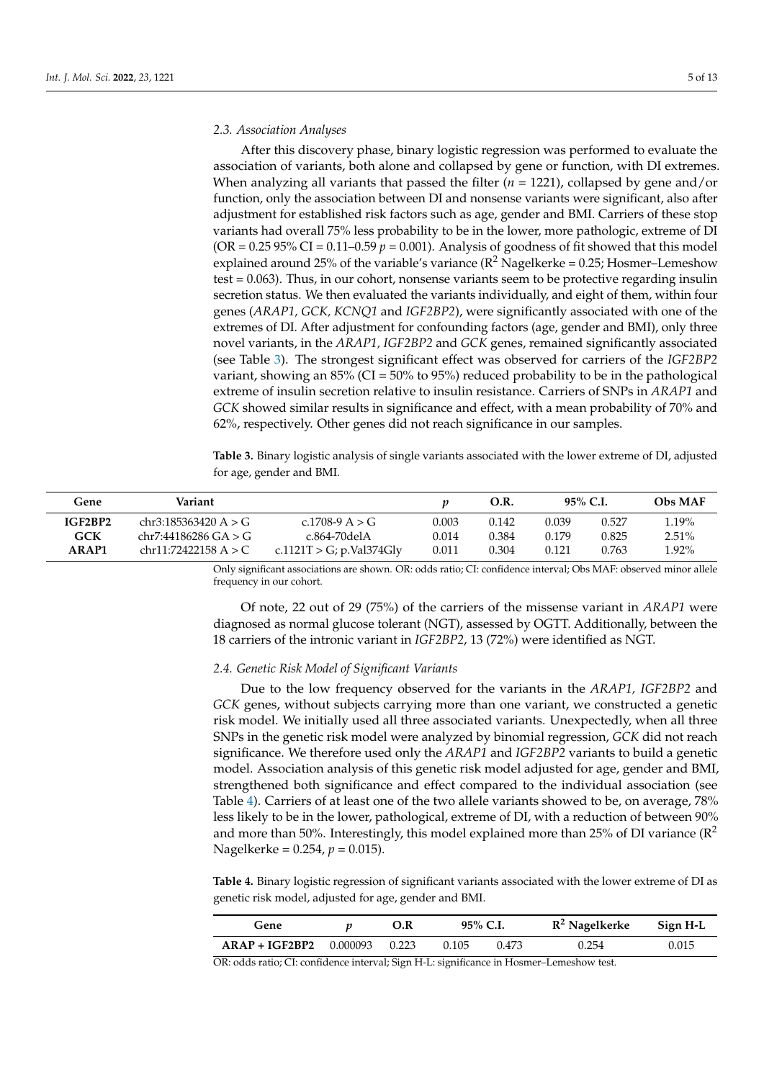#### *2.3. Association Analyses*

After this discovery phase, binary logistic regression was performed to evaluate the association of variants, both alone and collapsed by gene or function, with DI extremes. When analyzing all variants that passed the filter (*n* = 1221), collapsed by gene and/or function, only the association between DI and nonsense variants were significant, also after adjustment for established risk factors such as age, gender and BMI. Carriers of these stop variants had overall 75% less probability to be in the lower, more pathologic, extreme of DI (OR =  $0.2595\%$  CI =  $0.11$ – $0.59$   $p = 0.001$ ). Analysis of goodness of fit showed that this model explained around 25% of the variable's variance  $(R^2 \text{ Nagelkerke} = 0.25$ ; Hosmer–Lemeshow test = 0.063). Thus, in our cohort, nonsense variants seem to be protective regarding insulin secretion status. We then evaluated the variants individually, and eight of them, within four genes (*ARAP1, GCK, KCNQ1* and *IGF2BP2*), were significantly associated with one of the extremes of DI. After adjustment for confounding factors (age, gender and BMI), only three novel variants, in the *ARAP1, IGF2BP2* and *GCK* genes, remained significantly associated (see Table [3\)](#page-4-0). The strongest significant effect was observed for carriers of the *IGF2BP2* variant, showing an 85% (CI = 50% to 95%) reduced probability to be in the pathological extreme of insulin secretion relative to insulin resistance. Carriers of SNPs in *ARAP1* and *GCK* showed similar results in significance and effect, with a mean probability of 70% and 62%, respectively. Other genes did not reach significance in our samples.

<span id="page-4-0"></span>**Table 3.** Binary logistic analysis of single variants associated with the lower extreme of DI, adjusted for age, gender and BMI.

| Gene       | Variant                |                          |       | O.R.  | 95% C.I. |       | <b>Obs MAF</b> |
|------------|------------------------|--------------------------|-------|-------|----------|-------|----------------|
| IGF2BP2    | chr3:185363420 A $>$ G | c.1708-9 A $>$ G         | 0.003 | 0.142 | 0.039    | 0.527 | 1.19%          |
| <b>GCK</b> | chr7:44186286 GA > G   | c.864-70delA             | 0.014 | 0.384 | 0.179    | 0.825 | $2.51\%$       |
| ARAP1      | chr11:72422158 A > C   | c.1121T > G; p.Val374Gly | 0.011 | 0.304 | 0.121    | 0.763 | 1.92%          |

Only significant associations are shown. OR: odds ratio; CI: confidence interval; Obs MAF: observed minor allele frequency in our cohort.

Of note, 22 out of 29 (75%) of the carriers of the missense variant in *ARAP1* were diagnosed as normal glucose tolerant (NGT), assessed by OGTT. Additionally, between the 18 carriers of the intronic variant in *IGF2BP2*, 13 (72%) were identified as NGT.

#### *2.4. Genetic Risk Model of Significant Variants*

Due to the low frequency observed for the variants in the *ARAP1, IGF2BP2* and *GCK* genes, without subjects carrying more than one variant, we constructed a genetic risk model. We initially used all three associated variants. Unexpectedly, when all three SNPs in the genetic risk model were analyzed by binomial regression, *GCK* did not reach significance. We therefore used only the *ARAP1* and *IGF2BP2* variants to build a genetic model. Association analysis of this genetic risk model adjusted for age, gender and BMI, strengthened both significance and effect compared to the individual association (see Table [4\)](#page-4-1). Carriers of at least one of the two allele variants showed to be, on average, 78% less likely to be in the lower, pathological, extreme of DI, with a reduction of between 90% and more than 50%. Interestingly, this model explained more than 25% of DI variance ( $\mathbb{R}^2$ Nagelkerke = 0.254, *p* = 0.015).

<span id="page-4-1"></span>**Table 4.** Binary logistic regression of significant variants associated with the lower extreme of DI as genetic risk model, adjusted for age, gender and BMI.

| Gene                            | O.R                    | 95% C.I. |       | $R^2$ Nagelkerke | Sign H-L |
|---------------------------------|------------------------|----------|-------|------------------|----------|
| $ARAP + IGF2BP2$ 0.000093 0.223 |                        | 0.105    | 0.473 | 0.254            | 0.015    |
| זה וו תר                        | $1 \cap Y$ $T T T$ $T$ |          |       |                  |          |

OR: odds ratio; CI: confidence interval; Sign H-L: significance in Hosmer–Lemeshow test.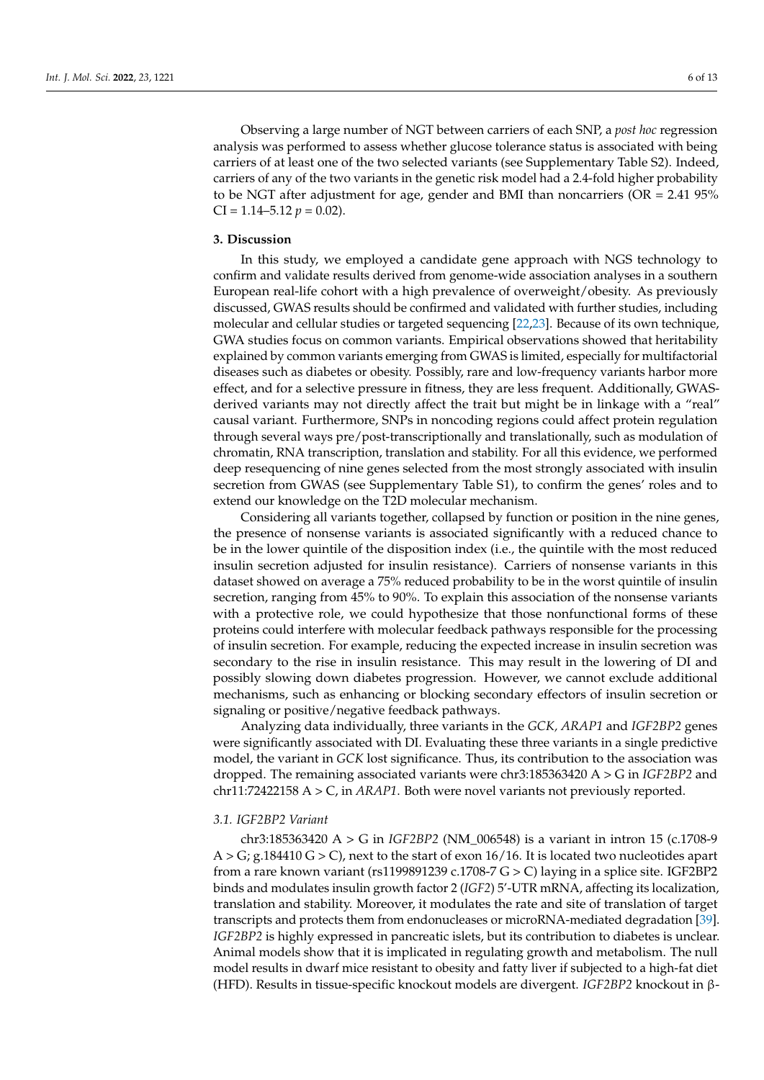Observing a large number of NGT between carriers of each SNP, a *post hoc* regression analysis was performed to assess whether glucose tolerance status is associated with being carriers of at least one of the two selected variants (see Supplementary Table S2). Indeed, carriers of any of the two variants in the genetic risk model had a 2.4-fold higher probability to be NGT after adjustment for age, gender and BMI than noncarriers (OR = 2.41 95%  $CI = 1.14 - 5.12 p = 0.02$ .

#### **3. Discussion**

In this study, we employed a candidate gene approach with NGS technology to confirm and validate results derived from genome-wide association analyses in a southern European real-life cohort with a high prevalence of overweight/obesity. As previously discussed, GWAS results should be confirmed and validated with further studies, including molecular and cellular studies or targeted sequencing [\[22,](#page-11-0)[23\]](#page-11-1). Because of its own technique, GWA studies focus on common variants. Empirical observations showed that heritability explained by common variants emerging from GWAS is limited, especially for multifactorial diseases such as diabetes or obesity. Possibly, rare and low-frequency variants harbor more effect, and for a selective pressure in fitness, they are less frequent. Additionally, GWASderived variants may not directly affect the trait but might be in linkage with a "real" causal variant. Furthermore, SNPs in noncoding regions could affect protein regulation through several ways pre/post-transcriptionally and translationally, such as modulation of chromatin, RNA transcription, translation and stability. For all this evidence, we performed deep resequencing of nine genes selected from the most strongly associated with insulin secretion from GWAS (see Supplementary Table S1), to confirm the genes' roles and to extend our knowledge on the T2D molecular mechanism.

Considering all variants together, collapsed by function or position in the nine genes, the presence of nonsense variants is associated significantly with a reduced chance to be in the lower quintile of the disposition index (i.e., the quintile with the most reduced insulin secretion adjusted for insulin resistance). Carriers of nonsense variants in this dataset showed on average a 75% reduced probability to be in the worst quintile of insulin secretion, ranging from 45% to 90%. To explain this association of the nonsense variants with a protective role, we could hypothesize that those nonfunctional forms of these proteins could interfere with molecular feedback pathways responsible for the processing of insulin secretion. For example, reducing the expected increase in insulin secretion was secondary to the rise in insulin resistance. This may result in the lowering of DI and possibly slowing down diabetes progression. However, we cannot exclude additional mechanisms, such as enhancing or blocking secondary effectors of insulin secretion or signaling or positive/negative feedback pathways.

Analyzing data individually, three variants in the *GCK, ARAP1* and *IGF2BP2* genes were significantly associated with DI. Evaluating these three variants in a single predictive model, the variant in *GCK* lost significance. Thus, its contribution to the association was dropped. The remaining associated variants were chr3:185363420 A > G in *IGF2BP2* and chr11:72422158 A > C, in *ARAP1*. Both were novel variants not previously reported.

# *3.1. IGF2BP2 Variant*

chr3:185363420 A > G in *IGF2BP2* (NM\_006548) is a variant in intron 15 (c.1708-9  $A > G$ ; g.184410  $G > C$ ), next to the start of exon 16/16. It is located two nucleotides apart from a rare known variant (rs1199891239 c.1708-7 G > C) laying in a splice site. IGF2BP2 binds and modulates insulin growth factor 2 (*IGF2*) 5'-UTR mRNA, affecting its localization, translation and stability. Moreover, it modulates the rate and site of translation of target transcripts and protects them from endonucleases or microRNA-mediated degradation [\[39\]](#page-11-15). *IGF2BP2* is highly expressed in pancreatic islets, but its contribution to diabetes is unclear. Animal models show that it is implicated in regulating growth and metabolism. The null model results in dwarf mice resistant to obesity and fatty liver if subjected to a high-fat diet (HFD). Results in tissue-specific knockout models are divergent. *IGF2BP2* knockout in β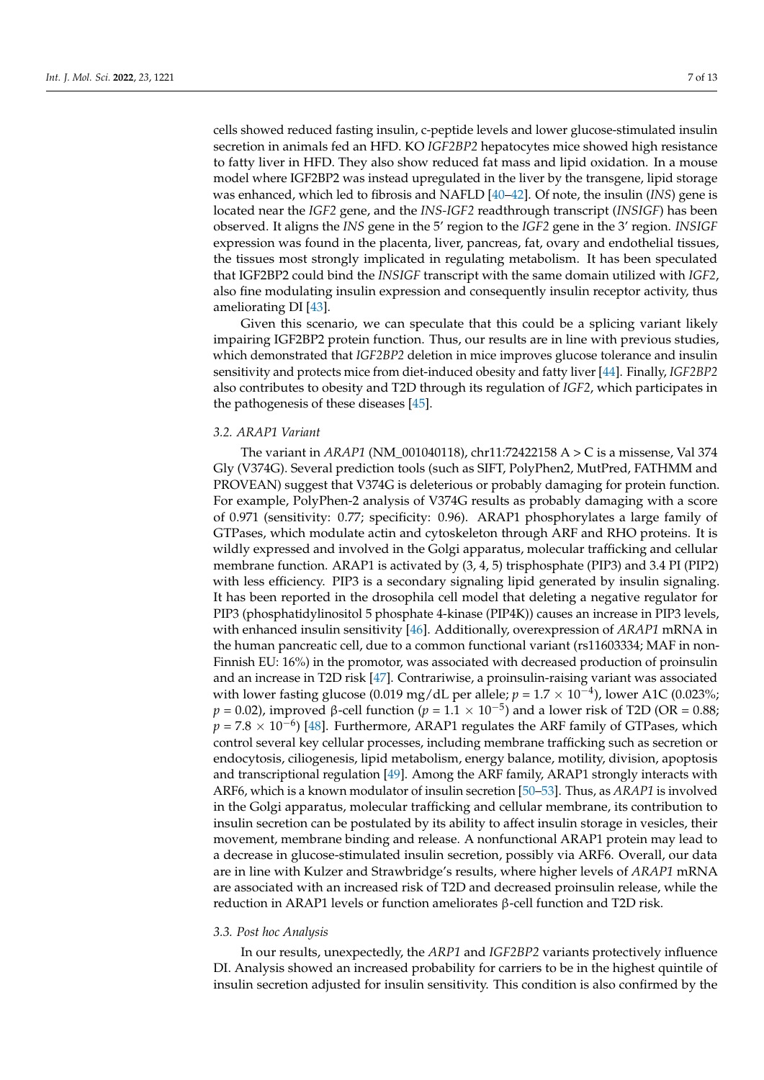cells showed reduced fasting insulin, c-peptide levels and lower glucose-stimulated insulin secretion in animals fed an HFD. KO *IGF2BP2* hepatocytes mice showed high resistance to fatty liver in HFD. They also show reduced fat mass and lipid oxidation. In a mouse model where IGF2BP2 was instead upregulated in the liver by the transgene, lipid storage was enhanced, which led to fibrosis and NAFLD [\[40](#page-11-16)[–42\]](#page-11-17). Of note, the insulin (*INS*) gene is located near the *IGF2* gene, and the *INS-IGF2* readthrough transcript (*INSIGF*) has been observed. It aligns the *INS* gene in the 5' region to the *IGF2* gene in the 3' region. *INSIGF* expression was found in the placenta, liver, pancreas, fat, ovary and endothelial tissues, the tissues most strongly implicated in regulating metabolism. It has been speculated that IGF2BP2 could bind the *INSIGF* transcript with the same domain utilized with *IGF2*, also fine modulating insulin expression and consequently insulin receptor activity, thus ameliorating DI [\[43\]](#page-11-18).

Given this scenario, we can speculate that this could be a splicing variant likely impairing IGF2BP2 protein function. Thus, our results are in line with previous studies, which demonstrated that *IGF2BP2* deletion in mice improves glucose tolerance and insulin sensitivity and protects mice from diet-induced obesity and fatty liver [\[44\]](#page-11-19). Finally, *IGF2BP2* also contributes to obesity and T2D through its regulation of *IGF2*, which participates in the pathogenesis of these diseases [\[45\]](#page-11-20).

# *3.2. ARAP1 Variant*

The variant in *ARAP1* (NM\_001040118), chr11:72422158 A > C is a missense, Val 374 Gly (V374G). Several prediction tools (such as SIFT, PolyPhen2, MutPred, FATHMM and PROVEAN) suggest that V374G is deleterious or probably damaging for protein function. For example, PolyPhen-2 analysis of V374G results as probably damaging with a score of 0.971 (sensitivity: 0.77; specificity: 0.96). ARAP1 phosphorylates a large family of GTPases, which modulate actin and cytoskeleton through ARF and RHO proteins. It is wildly expressed and involved in the Golgi apparatus, molecular trafficking and cellular membrane function. ARAP1 is activated by (3, 4, 5) trisphosphate (PIP3) and 3.4 PI (PIP2) with less efficiency. PIP3 is a secondary signaling lipid generated by insulin signaling. It has been reported in the drosophila cell model that deleting a negative regulator for PIP3 (phosphatidylinositol 5 phosphate 4-kinase (PIP4K)) causes an increase in PIP3 levels, with enhanced insulin sensitivity [\[46\]](#page-12-0). Additionally, overexpression of *ARAP1* mRNA in the human pancreatic cell, due to a common functional variant (rs11603334; MAF in non-Finnish EU: 16%) in the promotor, was associated with decreased production of proinsulin and an increase in T2D risk [\[47\]](#page-12-1). Contrariwise, a proinsulin-raising variant was associated with lower fasting glucose (0.019 mg/dL per allele;  $p = 1.7 \times 10^{-4}$ ), lower A1C (0.023%;  $p = 0.02$ ), improved β-cell function ( $p = 1.1 \times 10^{-5}$ ) and a lower risk of T2D (OR = 0.88;  $p = 7.8 \times 10^{-6}$ ) [\[48\]](#page-12-2). Furthermore, ARAP1 regulates the ARF family of GTPases, which control several key cellular processes, including membrane trafficking such as secretion or endocytosis, ciliogenesis, lipid metabolism, energy balance, motility, division, apoptosis and transcriptional regulation [\[49\]](#page-12-3). Among the ARF family, ARAP1 strongly interacts with ARF6, which is a known modulator of insulin secretion [\[50](#page-12-4)[–53\]](#page-12-5). Thus, as *ARAP1* is involved in the Golgi apparatus, molecular trafficking and cellular membrane, its contribution to insulin secretion can be postulated by its ability to affect insulin storage in vesicles, their movement, membrane binding and release. A nonfunctional ARAP1 protein may lead to a decrease in glucose-stimulated insulin secretion, possibly via ARF6. Overall, our data are in line with Kulzer and Strawbridge's results, where higher levels of *ARAP1* mRNA are associated with an increased risk of T2D and decreased proinsulin release, while the reduction in ARAP1 levels or function ameliorates β-cell function and T2D risk.

#### *3.3. Post hoc Analysis*

In our results, unexpectedly, the *ARP1* and *IGF2BP2* variants protectively influence DI. Analysis showed an increased probability for carriers to be in the highest quintile of insulin secretion adjusted for insulin sensitivity. This condition is also confirmed by the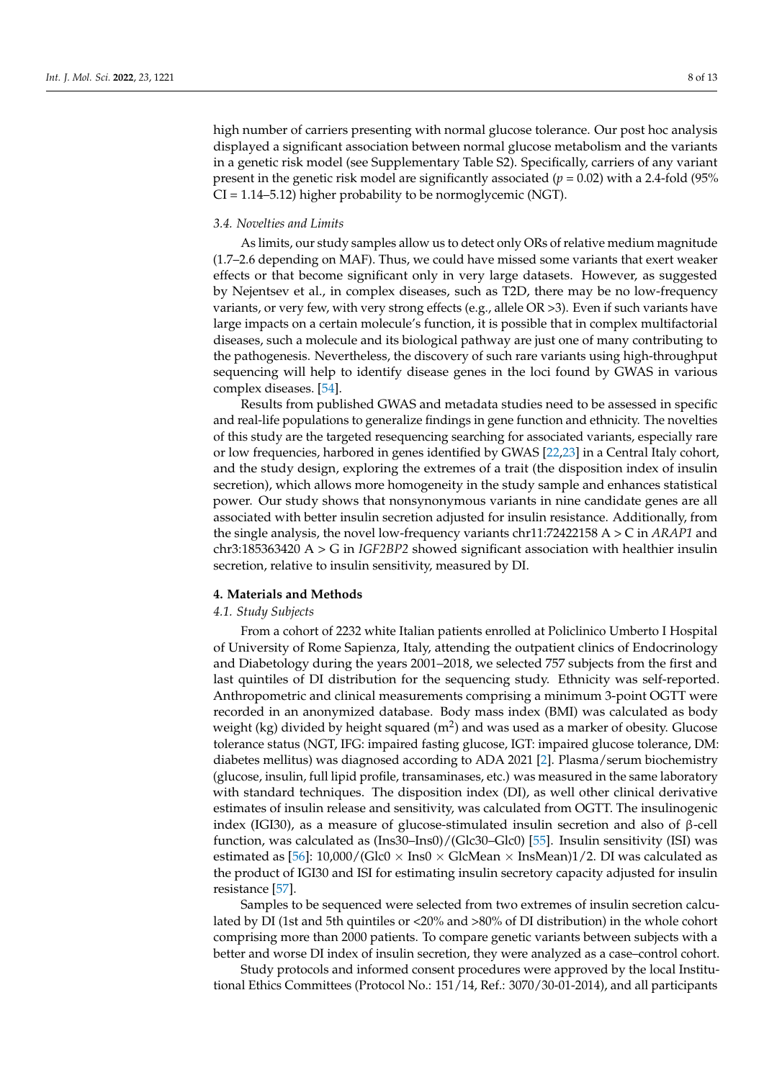high number of carriers presenting with normal glucose tolerance. Our post hoc analysis displayed a significant association between normal glucose metabolism and the variants in a genetic risk model (see Supplementary Table S2). Specifically, carriers of any variant present in the genetic risk model are significantly associated ( $p = 0.02$ ) with a 2.4-fold (95%) CI = 1.14–5.12) higher probability to be normoglycemic (NGT).

## *3.4. Novelties and Limits*

As limits, our study samples allow us to detect only ORs of relative medium magnitude (1.7–2.6 depending on MAF). Thus, we could have missed some variants that exert weaker effects or that become significant only in very large datasets. However, as suggested by Nejentsev et al., in complex diseases, such as T2D, there may be no low-frequency variants, or very few, with very strong effects (e.g., allele OR >3). Even if such variants have large impacts on a certain molecule's function, it is possible that in complex multifactorial diseases, such a molecule and its biological pathway are just one of many contributing to the pathogenesis. Nevertheless, the discovery of such rare variants using high-throughput sequencing will help to identify disease genes in the loci found by GWAS in various complex diseases. [\[54\]](#page-12-6).

Results from published GWAS and metadata studies need to be assessed in specific and real-life populations to generalize findings in gene function and ethnicity. The novelties of this study are the targeted resequencing searching for associated variants, especially rare or low frequencies, harbored in genes identified by GWAS [\[22,](#page-11-0)[23\]](#page-11-1) in a Central Italy cohort, and the study design, exploring the extremes of a trait (the disposition index of insulin secretion), which allows more homogeneity in the study sample and enhances statistical power. Our study shows that nonsynonymous variants in nine candidate genes are all associated with better insulin secretion adjusted for insulin resistance. Additionally, from the single analysis, the novel low-frequency variants chr11:72422158 A > C in *ARAP1* and chr3:185363420 A > G in *IGF2BP2* showed significant association with healthier insulin secretion, relative to insulin sensitivity, measured by DI.

# <span id="page-7-0"></span>**4. Materials and Methods**

# *4.1. Study Subjects*

From a cohort of 2232 white Italian patients enrolled at Policlinico Umberto I Hospital of University of Rome Sapienza, Italy, attending the outpatient clinics of Endocrinology and Diabetology during the years 2001–2018, we selected 757 subjects from the first and last quintiles of DI distribution for the sequencing study. Ethnicity was self-reported. Anthropometric and clinical measurements comprising a minimum 3-point OGTT were recorded in an anonymized database. Body mass index (BMI) was calculated as body weight (kg) divided by height squared (m<sup>2</sup>) and was used as a marker of obesity. Glucose tolerance status (NGT, IFG: impaired fasting glucose, IGT: impaired glucose tolerance, DM: diabetes mellitus) was diagnosed according to ADA 2021 [\[2\]](#page-10-1). Plasma/serum biochemistry (glucose, insulin, full lipid profile, transaminases, etc.) was measured in the same laboratory with standard techniques. The disposition index (DI), as well other clinical derivative estimates of insulin release and sensitivity, was calculated from OGTT. The insulinogenic index (IGI30), as a measure of glucose-stimulated insulin secretion and also of β-cell function, was calculated as (Ins30–Ins0)/(Glc30–Glc0) [\[55\]](#page-12-7). Insulin sensitivity (ISI) was estimated as [\[56\]](#page-12-8):  $10,000/$ (Glc0  $\times$  Ins0  $\times$  GlcMean  $\times$  InsMean)1/2. DI was calculated as the product of IGI30 and ISI for estimating insulin secretory capacity adjusted for insulin resistance [\[57\]](#page-12-9).

Samples to be sequenced were selected from two extremes of insulin secretion calculated by DI (1st and 5th quintiles or <20% and >80% of DI distribution) in the whole cohort comprising more than 2000 patients. To compare genetic variants between subjects with a better and worse DI index of insulin secretion, they were analyzed as a case–control cohort.

Study protocols and informed consent procedures were approved by the local Institutional Ethics Committees (Protocol No.: 151/14, Ref.: 3070/30-01-2014), and all participants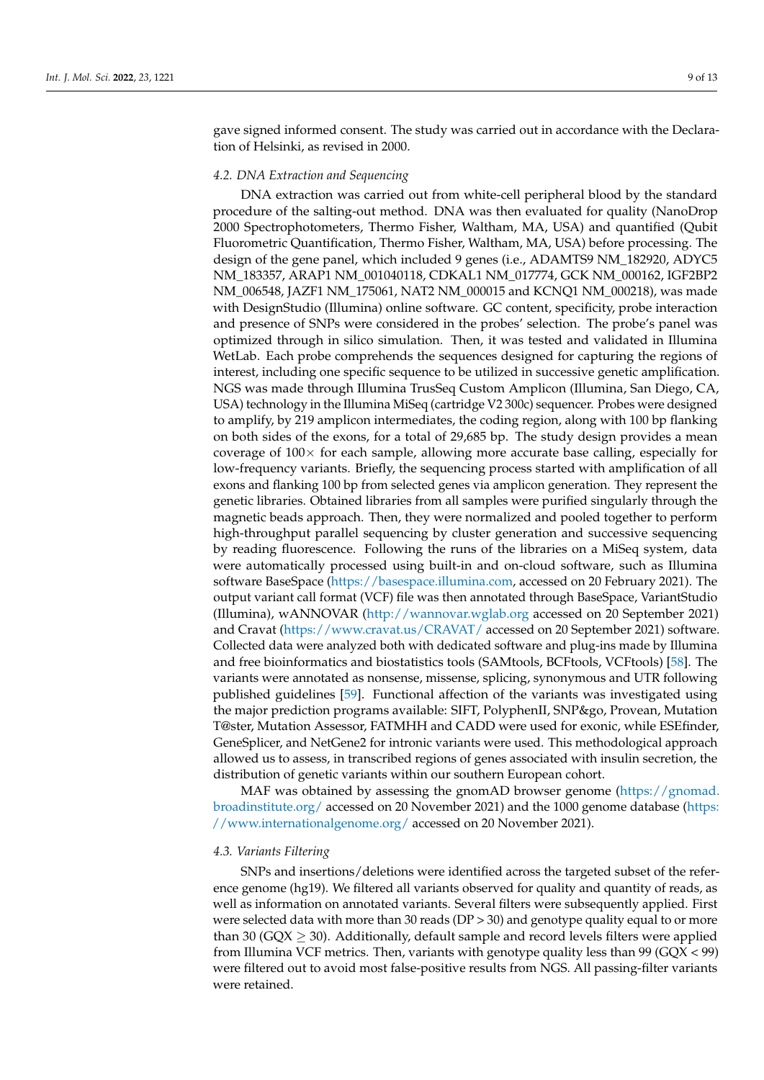gave signed informed consent. The study was carried out in accordance with the Declaration of Helsinki, as revised in 2000.

#### *4.2. DNA Extraction and Sequencing*

DNA extraction was carried out from white-cell peripheral blood by the standard procedure of the salting-out method. DNA was then evaluated for quality (NanoDrop 2000 Spectrophotometers, Thermo Fisher, Waltham, MA, USA) and quantified (Qubit Fluorometric Quantification, Thermo Fisher, Waltham, MA, USA) before processing. The design of the gene panel, which included 9 genes (i.e., ADAMTS9 NM\_182920, ADYC5 NM\_183357, ARAP1 NM\_001040118, CDKAL1 NM\_017774, GCK NM\_000162, IGF2BP2 NM\_006548, JAZF1 NM\_175061, NAT2 NM\_000015 and KCNQ1 NM\_000218), was made with DesignStudio (Illumina) online software. GC content, specificity, probe interaction and presence of SNPs were considered in the probes' selection. The probe's panel was optimized through in silico simulation. Then, it was tested and validated in Illumina WetLab. Each probe comprehends the sequences designed for capturing the regions of interest, including one specific sequence to be utilized in successive genetic amplification. NGS was made through Illumina TrusSeq Custom Amplicon (Illumina, San Diego, CA, USA) technology in the Illumina MiSeq (cartridge V2 300c) sequencer. Probes were designed to amplify, by 219 amplicon intermediates, the coding region, along with 100 bp flanking on both sides of the exons, for a total of 29,685 bp. The study design provides a mean coverage of  $100\times$  for each sample, allowing more accurate base calling, especially for low-frequency variants. Briefly, the sequencing process started with amplification of all exons and flanking 100 bp from selected genes via amplicon generation. They represent the genetic libraries. Obtained libraries from all samples were purified singularly through the magnetic beads approach. Then, they were normalized and pooled together to perform high-throughput parallel sequencing by cluster generation and successive sequencing by reading fluorescence. Following the runs of the libraries on a MiSeq system, data were automatically processed using built-in and on-cloud software, such as Illumina software BaseSpace [\(https://basespace.illumina.com,](https://basespace.illumina.com) accessed on 20 February 2021). The output variant call format (VCF) file was then annotated through BaseSpace, VariantStudio (Illumina), wANNOVAR [\(http://wannovar.wglab.org](http://wannovar.wglab.org) accessed on 20 September 2021) and Cravat [\(https://www.cravat.us/CRAVAT/](https://www.cravat.us/CRAVAT/) accessed on 20 September 2021) software. Collected data were analyzed both with dedicated software and plug-ins made by Illumina and free bioinformatics and biostatistics tools (SAMtools, BCFtools, VCFtools) [\[58\]](#page-12-10). The variants were annotated as nonsense, missense, splicing, synonymous and UTR following published guidelines [\[59\]](#page-12-11). Functional affection of the variants was investigated using the major prediction programs available: SIFT, PolyphenII, SNP&go, Provean, Mutation T@ster, Mutation Assessor, FATMHH and CADD were used for exonic, while ESEfinder, GeneSplicer, and NetGene2 for intronic variants were used. This methodological approach allowed us to assess, in transcribed regions of genes associated with insulin secretion, the distribution of genetic variants within our southern European cohort.

MAF was obtained by assessing the gnomAD browser genome [\(https://gnomad.](https://gnomad.broadinstitute.org/) [broadinstitute.org/](https://gnomad.broadinstitute.org/) accessed on 20 November 2021) and the 1000 genome database [\(https:](https://www.internationalgenome.org/) [//www.internationalgenome.org/](https://www.internationalgenome.org/) accessed on 20 November 2021).

#### *4.3. Variants Filtering*

SNPs and insertions/deletions were identified across the targeted subset of the reference genome (hg19). We filtered all variants observed for quality and quantity of reads, as well as information on annotated variants. Several filters were subsequently applied. First were selected data with more than 30 reads (DP > 30) and genotype quality equal to or more than 30 (GQX  $\geq$  30). Additionally, default sample and record levels filters were applied from Illumina VCF metrics. Then, variants with genotype quality less than  $99 \text{ (GQX} < 99)$ were filtered out to avoid most false-positive results from NGS. All passing-filter variants were retained.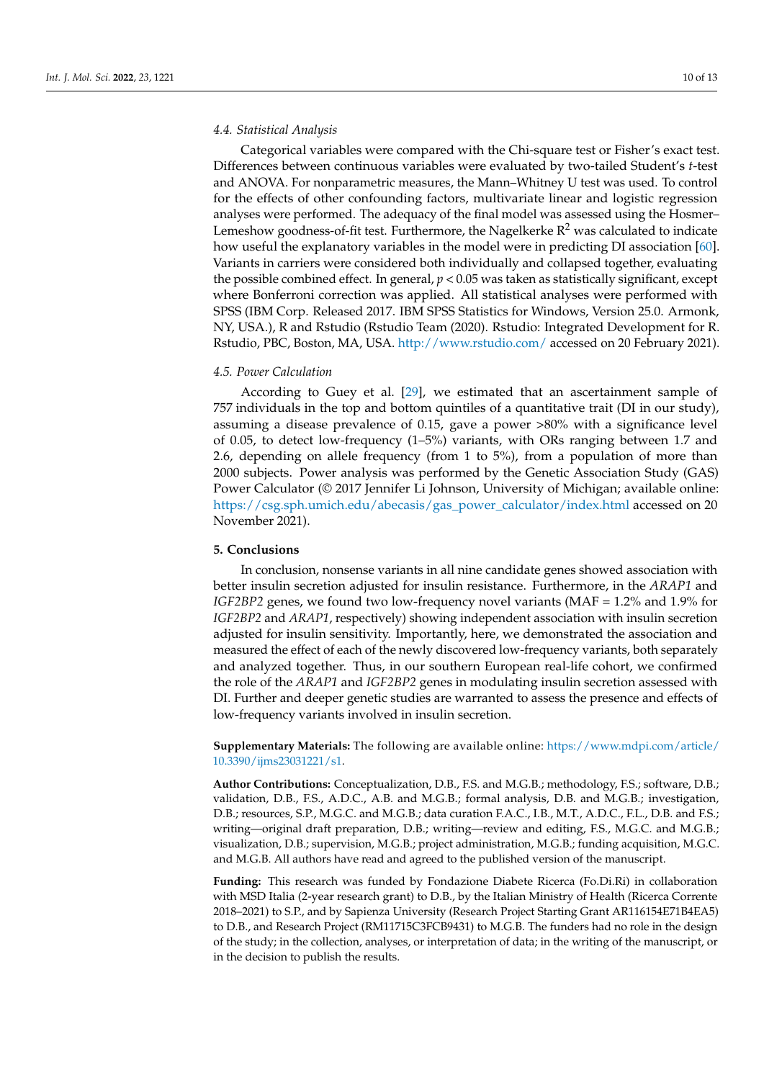## *4.4. Statistical Analysis*

Categorical variables were compared with the Chi-square test or Fisher's exact test. Differences between continuous variables were evaluated by two-tailed Student's *t*-test and ANOVA. For nonparametric measures, the Mann–Whitney U test was used. To control for the effects of other confounding factors, multivariate linear and logistic regression analyses were performed. The adequacy of the final model was assessed using the Hosmer– Lemeshow goodness-of-fit test. Furthermore, the Nagelkerke  $R^2$  was calculated to indicate how useful the explanatory variables in the model were in predicting DI association [\[60\]](#page-12-12). Variants in carriers were considered both individually and collapsed together, evaluating the possible combined effect. In general, *p* < 0.05 was taken as statistically significant, except where Bonferroni correction was applied. All statistical analyses were performed with SPSS (IBM Corp. Released 2017. IBM SPSS Statistics for Windows, Version 25.0. Armonk, NY, USA.), R and Rstudio (Rstudio Team (2020). Rstudio: Integrated Development for R. Rstudio, PBC, Boston, MA, USA. <http://www.rstudio.com/> accessed on 20 February 2021).

## *4.5. Power Calculation*

According to Guey et al. [\[29\]](#page-11-6), we estimated that an ascertainment sample of 757 individuals in the top and bottom quintiles of a quantitative trait (DI in our study), assuming a disease prevalence of 0.15, gave a power >80% with a significance level of 0.05, to detect low-frequency (1–5%) variants, with ORs ranging between 1.7 and 2.6, depending on allele frequency (from 1 to 5%), from a population of more than 2000 subjects. Power analysis was performed by the Genetic Association Study (GAS) Power Calculator (© 2017 Jennifer Li Johnson, University of Michigan; available online: [https://csg.sph.umich.edu/abecasis/gas\\_power\\_calculator/index.html](https://csg.sph.umich.edu/abecasis/gas_power_calculator/index.html) accessed on 20 November 2021).

#### **5. Conclusions**

In conclusion, nonsense variants in all nine candidate genes showed association with better insulin secretion adjusted for insulin resistance. Furthermore, in the *ARAP1* and *IGF2BP2* genes, we found two low-frequency novel variants (MAF = 1.2% and 1.9% for *IGF2BP2* and *ARAP1*, respectively) showing independent association with insulin secretion adjusted for insulin sensitivity. Importantly, here, we demonstrated the association and measured the effect of each of the newly discovered low-frequency variants, both separately and analyzed together. Thus, in our southern European real-life cohort, we confirmed the role of the *ARAP1* and *IGF2BP2* genes in modulating insulin secretion assessed with DI. Further and deeper genetic studies are warranted to assess the presence and effects of low-frequency variants involved in insulin secretion.

**Supplementary Materials:** The following are available online: [https://www.mdpi.com/article/](https://www.mdpi.com/article/10.3390/ijms23031221/s1) [10.3390/ijms23031221/s1.](https://www.mdpi.com/article/10.3390/ijms23031221/s1)

**Author Contributions:** Conceptualization, D.B., F.S. and M.G.B.; methodology, F.S.; software, D.B.; validation, D.B., F.S., A.D.C., A.B. and M.G.B.; formal analysis, D.B. and M.G.B.; investigation, D.B.; resources, S.P., M.G.C. and M.G.B.; data curation F.A.C., I.B., M.T., A.D.C., F.L., D.B. and F.S.; writing—original draft preparation, D.B.; writing—review and editing, F.S., M.G.C. and M.G.B.; visualization, D.B.; supervision, M.G.B.; project administration, M.G.B.; funding acquisition, M.G.C. and M.G.B. All authors have read and agreed to the published version of the manuscript.

**Funding:** This research was funded by Fondazione Diabete Ricerca (Fo.Di.Ri) in collaboration with MSD Italia (2-year research grant) to D.B., by the Italian Ministry of Health (Ricerca Corrente 2018–2021) to S.P., and by Sapienza University (Research Project Starting Grant AR116154E71B4EA5) to D.B., and Research Project (RM11715C3FCB9431) to M.G.B. The funders had no role in the design of the study; in the collection, analyses, or interpretation of data; in the writing of the manuscript, or in the decision to publish the results.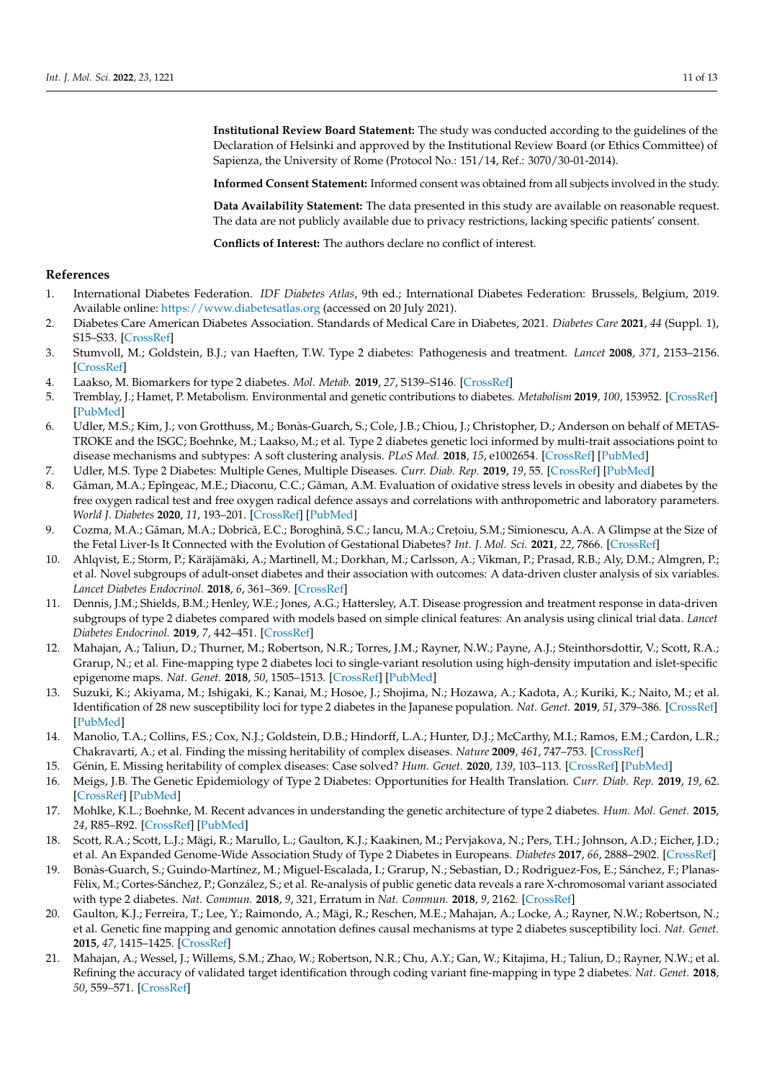**Institutional Review Board Statement:** The study was conducted according to the guidelines of the Declaration of Helsinki and approved by the Institutional Review Board (or Ethics Committee) of Sapienza, the University of Rome (Protocol No.: 151/14, Ref.: 3070/30-01-2014).

**Informed Consent Statement:** Informed consent was obtained from all subjects involved in the study.

**Data Availability Statement:** The data presented in this study are available on reasonable request. The data are not publicly available due to privacy restrictions, lacking specific patients' consent.

**Conflicts of Interest:** The authors declare no conflict of interest.

# **References**

- <span id="page-10-0"></span>1. International Diabetes Federation. *IDF Diabetes Atlas*, 9th ed.; International Diabetes Federation: Brussels, Belgium, 2019. Available online: <https://www.diabetesatlas.org> (accessed on 20 July 2021).
- <span id="page-10-1"></span>2. Diabetes Care American Diabetes Association. Standards of Medical Care in Diabetes, 2021. *Diabetes Care* **2021**, *44* (Suppl. 1), S15–S33. [\[CrossRef\]](http://doi.org/10.2337/dc21-S002)
- <span id="page-10-2"></span>3. Stumvoll, M.; Goldstein, B.J.; van Haeften, T.W. Type 2 diabetes: Pathogenesis and treatment. *Lancet* **2008**, *371*, 2153–2156. [\[CrossRef\]](http://doi.org/10.1016/S0140-6736(08)60932-0)
- <span id="page-10-3"></span>4. Laakso, M. Biomarkers for type 2 diabetes. *Mol. Metab.* **2019**, *27*, S139–S146. [\[CrossRef\]](http://doi.org/10.1016/j.molmet.2019.06.016)
- 5. Tremblay, J.; Hamet, P. Metabolism. Environmental and genetic contributions to diabetes. *Metabolism* **2019**, *100*, 153952. [\[CrossRef\]](http://doi.org/10.1016/j.metabol.2019.153952) [\[PubMed\]](http://www.ncbi.nlm.nih.gov/pubmed/31610851)
- 6. Udler, M.S.; Kim, J.; von Grotthuss, M.; Bonàs-Guarch, S.; Cole, J.B.; Chiou, J.; Christopher, D.; Anderson on behalf of METAS-TROKE and the ISGC; Boehnke, M.; Laakso, M.; et al. Type 2 diabetes genetic loci informed by multi-trait associations point to disease mechanisms and subtypes: A soft clustering analysis. *PLoS Med.* **2018**, *15*, e1002654. [\[CrossRef\]](http://doi.org/10.1371/journal.pmed.1002654) [\[PubMed\]](http://www.ncbi.nlm.nih.gov/pubmed/30240442)
- <span id="page-10-4"></span>7. Udler, M.S. Type 2 Diabetes: Multiple Genes, Multiple Diseases. *Curr. Diab. Rep.* **2019**, *19*, 55. [\[CrossRef\]](http://doi.org/10.1007/s11892-019-1169-7) [\[PubMed\]](http://www.ncbi.nlm.nih.gov/pubmed/31292748)
- <span id="page-10-5"></span>8. Găman, M.A.; Epîngeac, M.E.; Diaconu, C.C.; Găman, A.M. Evaluation of oxidative stress levels in obesity and diabetes by the free oxygen radical test and free oxygen radical defence assays and correlations with anthropometric and laboratory parameters. *World J. Diabetes* **2020**, *11*, 193–201. [\[CrossRef\]](http://doi.org/10.4239/wjd.v11.i5.193) [\[PubMed\]](http://www.ncbi.nlm.nih.gov/pubmed/32477455)
- <span id="page-10-6"></span>9. Cozma, M.A.; Găman, M.A.; Dobrică, E.C.; Boroghină, S.C.; Iancu, M.A.; Crețoiu, S.M.; Simionescu, A.A. A Glimpse at the Size of the Fetal Liver-Is It Connected with the Evolution of Gestational Diabetes? *Int. J. Mol. Sci.* **2021**, *22*, 7866. [\[CrossRef\]](http://doi.org/10.3390/ijms22157866)
- <span id="page-10-7"></span>10. Ahlqvist, E.; Storm, P.; Käräjämäki, A.; Martinell, M.; Dorkhan, M.; Carlsson, A.; Vikman, P.; Prasad, R.B.; Aly, D.M.; Almgren, P.; et al. Novel subgroups of adult-onset diabetes and their association with outcomes: A data-driven cluster analysis of six variables. *Lancet Diabetes Endocrinol.* **2018**, *6*, 361–369. [\[CrossRef\]](http://doi.org/10.1016/S2213-8587(18)30051-2)
- <span id="page-10-8"></span>11. Dennis, J.M.; Shields, B.M.; Henley, W.E.; Jones, A.G.; Hattersley, A.T. Disease progression and treatment response in data-driven subgroups of type 2 diabetes compared with models based on simple clinical features: An analysis using clinical trial data. *Lancet Diabetes Endocrinol.* **2019**, *7*, 442–451. [\[CrossRef\]](http://doi.org/10.1016/S2213-8587(19)30087-7)
- <span id="page-10-9"></span>12. Mahajan, A.; Taliun, D.; Thurner, M.; Robertson, N.R.; Torres, J.M.; Rayner, N.W.; Payne, A.J.; Steinthorsdottir, V.; Scott, R.A.; Grarup, N.; et al. Fine-mapping type 2 diabetes loci to single-variant resolution using high-density imputation and islet-specific epigenome maps. *Nat. Genet.* **2018**, *50*, 1505–1513. [\[CrossRef\]](http://doi.org/10.1038/s41588-018-0241-6) [\[PubMed\]](http://www.ncbi.nlm.nih.gov/pubmed/30297969)
- <span id="page-10-10"></span>13. Suzuki, K.; Akiyama, M.; Ishigaki, K.; Kanai, M.; Hosoe, J.; Shojima, N.; Hozawa, A.; Kadota, A.; Kuriki, K.; Naito, M.; et al. Identification of 28 new susceptibility loci for type 2 diabetes in the Japanese population. *Nat. Genet.* **2019**, *51*, 379–386. [\[CrossRef\]](http://doi.org/10.1038/s41588-018-0332-4) [\[PubMed\]](http://www.ncbi.nlm.nih.gov/pubmed/30718926)
- <span id="page-10-11"></span>14. Manolio, T.A.; Collins, F.S.; Cox, N.J.; Goldstein, D.B.; Hindorff, L.A.; Hunter, D.J.; McCarthy, M.I.; Ramos, E.M.; Cardon, L.R.; Chakravarti, A.; et al. Finding the missing heritability of complex diseases. *Nature* **2009**, *461*, 747–753. [\[CrossRef\]](http://doi.org/10.1038/nature08494)
- <span id="page-10-12"></span>15. Génin, E. Missing heritability of complex diseases: Case solved? *Hum. Genet.* **2020**, *139*, 103–113. [\[CrossRef\]](http://doi.org/10.1007/s00439-019-02034-4) [\[PubMed\]](http://www.ncbi.nlm.nih.gov/pubmed/31165258)
- <span id="page-10-13"></span>16. Meigs, J.B. The Genetic Epidemiology of Type 2 Diabetes: Opportunities for Health Translation. *Curr. Diab. Rep.* **2019**, *19*, 62. [\[CrossRef\]](http://doi.org/10.1007/s11892-019-1173-y) [\[PubMed\]](http://www.ncbi.nlm.nih.gov/pubmed/31332628)
- <span id="page-10-14"></span>17. Mohlke, K.L.; Boehnke, M. Recent advances in understanding the genetic architecture of type 2 diabetes. *Hum. Mol. Genet.* **2015**, *24*, R85–R92. [\[CrossRef\]](http://doi.org/10.1093/hmg/ddv264) [\[PubMed\]](http://www.ncbi.nlm.nih.gov/pubmed/26160912)
- 18. Scott, R.A.; Scott, L.J.; Mägi, R.; Marullo, L.; Gaulton, K.J.; Kaakinen, M.; Pervjakova, N.; Pers, T.H.; Johnson, A.D.; Eicher, J.D.; et al. An Expanded Genome-Wide Association Study of Type 2 Diabetes in Europeans. *Diabetes* **2017**, *66*, 2888–2902. [\[CrossRef\]](http://doi.org/10.2337/db16-1253)
- 19. Bonàs-Guarch, S.; Guindo-Martínez, M.; Miguel-Escalada, I.; Grarup, N.; Sebastian, D.; Rodriguez-Fos, E.; Sánchez, F.; Planas-Fèlix, M.; Cortes-Sánchez, P.; González, S.; et al. Re-analysis of public genetic data reveals a rare X-chromosomal variant associated with type 2 diabetes. *Nat. Commun.* **2018**, *9*, 321, Erratum in *Nat. Commun.* **2018**, *9*, 2162. [\[CrossRef\]](http://doi.org/10.1038/s41467-017-02380-9)
- 20. Gaulton, K.J.; Ferreira, T.; Lee, Y.; Raimondo, A.; Mägi, R.; Reschen, M.E.; Mahajan, A.; Locke, A.; Rayner, N.W.; Robertson, N.; et al. Genetic fine mapping and genomic annotation defines causal mechanisms at type 2 diabetes susceptibility loci. *Nat. Genet.* **2015**, *47*, 1415–1425. [\[CrossRef\]](http://doi.org/10.1038/ng.3437)
- <span id="page-10-15"></span>21. Mahajan, A.; Wessel, J.; Willems, S.M.; Zhao, W.; Robertson, N.R.; Chu, A.Y.; Gan, W.; Kitajima, H.; Taliun, D.; Rayner, N.W.; et al. Refining the accuracy of validated target identification through coding variant fine-mapping in type 2 diabetes. *Nat. Genet.* **2018**, *50*, 559–571. [\[CrossRef\]](http://doi.org/10.1038/s41588-018-0084-1)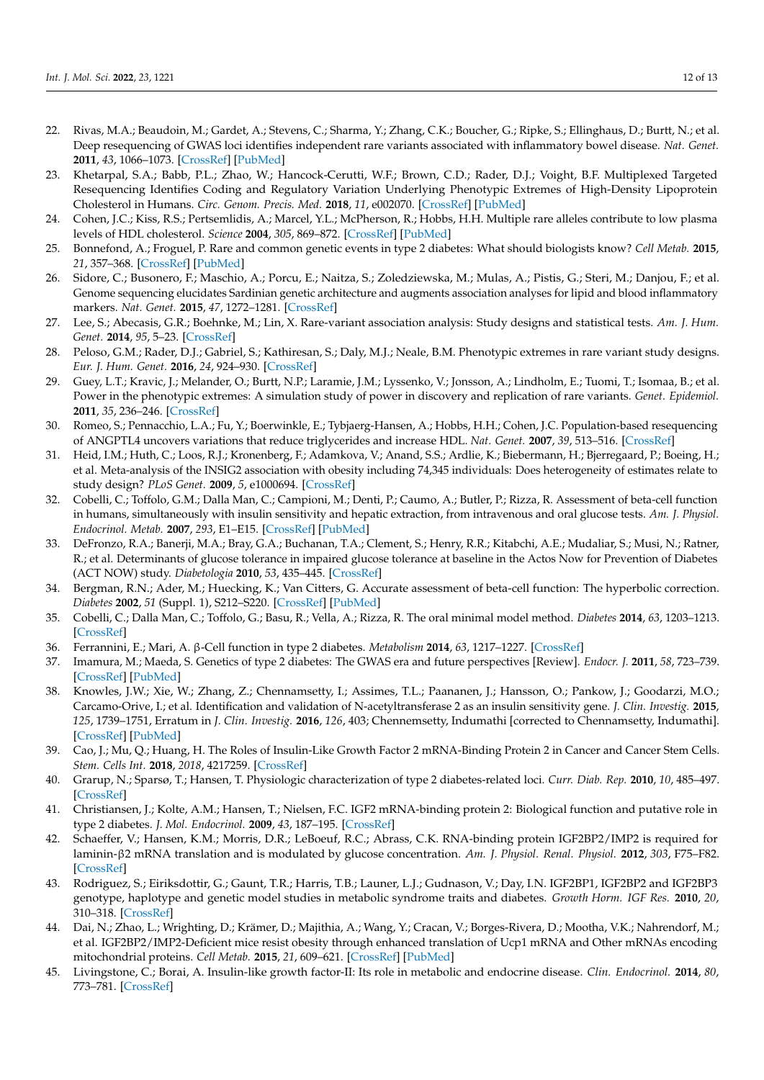- <span id="page-11-0"></span>22. Rivas, M.A.; Beaudoin, M.; Gardet, A.; Stevens, C.; Sharma, Y.; Zhang, C.K.; Boucher, G.; Ripke, S.; Ellinghaus, D.; Burtt, N.; et al. Deep resequencing of GWAS loci identifies independent rare variants associated with inflammatory bowel disease. *Nat. Genet.* **2011**, *43*, 1066–1073. [\[CrossRef\]](http://doi.org/10.1038/ng.952) [\[PubMed\]](http://www.ncbi.nlm.nih.gov/pubmed/21983784)
- <span id="page-11-1"></span>23. Khetarpal, S.A.; Babb, P.L.; Zhao, W.; Hancock-Cerutti, W.F.; Brown, C.D.; Rader, D.J.; Voight, B.F. Multiplexed Targeted Resequencing Identifies Coding and Regulatory Variation Underlying Phenotypic Extremes of High-Density Lipoprotein Cholesterol in Humans. *Circ. Genom. Precis. Med.* **2018**, *11*, e002070. [\[CrossRef\]](http://doi.org/10.1161/CIRCGEN.117.002070) [\[PubMed\]](http://www.ncbi.nlm.nih.gov/pubmed/29987113)
- <span id="page-11-2"></span>24. Cohen, J.C.; Kiss, R.S.; Pertsemlidis, A.; Marcel, Y.L.; McPherson, R.; Hobbs, H.H. Multiple rare alleles contribute to low plasma levels of HDL cholesterol. *Science* **2004**, *305*, 869–872. [\[CrossRef\]](http://doi.org/10.1126/science.1099870) [\[PubMed\]](http://www.ncbi.nlm.nih.gov/pubmed/15297675)
- <span id="page-11-3"></span>25. Bonnefond, A.; Froguel, P. Rare and common genetic events in type 2 diabetes: What should biologists know? *Cell Metab.* **2015**, *21*, 357–368. [\[CrossRef\]](http://doi.org/10.1016/j.cmet.2014.12.020) [\[PubMed\]](http://www.ncbi.nlm.nih.gov/pubmed/25640731)
- 26. Sidore, C.; Busonero, F.; Maschio, A.; Porcu, E.; Naitza, S.; Zoledziewska, M.; Mulas, A.; Pistis, G.; Steri, M.; Danjou, F.; et al. Genome sequencing elucidates Sardinian genetic architecture and augments association analyses for lipid and blood inflammatory markers. *Nat. Genet.* **2015**, *47*, 1272–1281. [\[CrossRef\]](http://doi.org/10.1038/ng.3368)
- <span id="page-11-4"></span>27. Lee, S.; Abecasis, G.R.; Boehnke, M.; Lin, X. Rare-variant association analysis: Study designs and statistical tests. *Am. J. Hum. Genet.* **2014**, *95*, 5–23. [\[CrossRef\]](http://doi.org/10.1016/j.ajhg.2014.06.009)
- <span id="page-11-5"></span>28. Peloso, G.M.; Rader, D.J.; Gabriel, S.; Kathiresan, S.; Daly, M.J.; Neale, B.M. Phenotypic extremes in rare variant study designs. *Eur. J. Hum. Genet.* **2016**, *24*, 924–930. [\[CrossRef\]](http://doi.org/10.1038/ejhg.2015.197)
- <span id="page-11-6"></span>29. Guey, L.T.; Kravic, J.; Melander, O.; Burtt, N.P.; Laramie, J.M.; Lyssenko, V.; Jonsson, A.; Lindholm, E.; Tuomi, T.; Isomaa, B.; et al. Power in the phenotypic extremes: A simulation study of power in discovery and replication of rare variants. *Genet. Epidemiol.* **2011**, *35*, 236–246. [\[CrossRef\]](http://doi.org/10.1002/gepi.20572)
- <span id="page-11-7"></span>30. Romeo, S.; Pennacchio, L.A.; Fu, Y.; Boerwinkle, E.; Tybjaerg-Hansen, A.; Hobbs, H.H.; Cohen, J.C. Population-based resequencing of ANGPTL4 uncovers variations that reduce triglycerides and increase HDL. *Nat. Genet.* **2007**, *39*, 513–516. [\[CrossRef\]](http://doi.org/10.1038/ng1984)
- <span id="page-11-8"></span>31. Heid, I.M.; Huth, C.; Loos, R.J.; Kronenberg, F.; Adamkova, V.; Anand, S.S.; Ardlie, K.; Biebermann, H.; Bjerregaard, P.; Boeing, H.; et al. Meta-analysis of the INSIG2 association with obesity including 74,345 individuals: Does heterogeneity of estimates relate to study design? *PLoS Genet.* **2009**, *5*, e1000694. [\[CrossRef\]](http://doi.org/10.1371/journal.pgen.1000694)
- <span id="page-11-9"></span>32. Cobelli, C.; Toffolo, G.M.; Dalla Man, C.; Campioni, M.; Denti, P.; Caumo, A.; Butler, P.; Rizza, R. Assessment of beta-cell function in humans, simultaneously with insulin sensitivity and hepatic extraction, from intravenous and oral glucose tests. *Am. J. Physiol. Endocrinol. Metab.* **2007**, *293*, E1–E15. [\[CrossRef\]](http://doi.org/10.1152/ajpendo.00421.2006) [\[PubMed\]](http://www.ncbi.nlm.nih.gov/pubmed/17341552)
- <span id="page-11-10"></span>33. DeFronzo, R.A.; Banerji, M.A.; Bray, G.A.; Buchanan, T.A.; Clement, S.; Henry, R.R.; Kitabchi, A.E.; Mudaliar, S.; Musi, N.; Ratner, R.; et al. Determinants of glucose tolerance in impaired glucose tolerance at baseline in the Actos Now for Prevention of Diabetes (ACT NOW) study. *Diabetologia* **2010**, *53*, 435–445. [\[CrossRef\]](http://doi.org/10.1007/s00125-009-1614-2)
- <span id="page-11-11"></span>34. Bergman, R.N.; Ader, M.; Huecking, K.; Van Citters, G. Accurate assessment of beta-cell function: The hyperbolic correction. *Diabetes* **2002**, *51* (Suppl. 1), S212–S220. [\[CrossRef\]](http://doi.org/10.2337/diabetes.51.2007.S212) [\[PubMed\]](http://www.ncbi.nlm.nih.gov/pubmed/11815482)
- 35. Cobelli, C.; Dalla Man, C.; Toffolo, G.; Basu, R.; Vella, A.; Rizza, R. The oral minimal model method. *Diabetes* **2014**, *63*, 1203–1213. [\[CrossRef\]](http://doi.org/10.2337/db13-1198)
- <span id="page-11-12"></span>36. Ferrannini, E.; Mari, A. β-Cell function in type 2 diabetes. *Metabolism* **2014**, *63*, 1217–1227. [\[CrossRef\]](http://doi.org/10.1016/j.metabol.2014.05.012)
- <span id="page-11-13"></span>37. Imamura, M.; Maeda, S. Genetics of type 2 diabetes: The GWAS era and future perspectives [Review]. *Endocr. J.* **2011**, *58*, 723–739. [\[CrossRef\]](http://doi.org/10.1507/endocrj.EJ11-0113) [\[PubMed\]](http://www.ncbi.nlm.nih.gov/pubmed/21778616)
- <span id="page-11-14"></span>38. Knowles, J.W.; Xie, W.; Zhang, Z.; Chennamsetty, I.; Assimes, T.L.; Paananen, J.; Hansson, O.; Pankow, J.; Goodarzi, M.O.; Carcamo-Orive, I.; et al. Identification and validation of N-acetyltransferase 2 as an insulin sensitivity gene. *J. Clin. Investig.* **2015**, *125*, 1739–1751, Erratum in *J. Clin. Investig.* **2016**, *126*, 403; Chennemsetty, Indumathi [corrected to Chennamsetty, Indumathi]. [\[CrossRef\]](http://doi.org/10.1172/JCI74692) [\[PubMed\]](http://www.ncbi.nlm.nih.gov/pubmed/25798622)
- <span id="page-11-15"></span>39. Cao, J.; Mu, Q.; Huang, H. The Roles of Insulin-Like Growth Factor 2 mRNA-Binding Protein 2 in Cancer and Cancer Stem Cells. *Stem. Cells Int.* **2018**, *2018*, 4217259. [\[CrossRef\]](http://doi.org/10.1155/2018/4217259)
- <span id="page-11-16"></span>40. Grarup, N.; Sparsø, T.; Hansen, T. Physiologic characterization of type 2 diabetes-related loci. *Curr. Diab. Rep.* **2010**, *10*, 485–497. [\[CrossRef\]](http://doi.org/10.1007/s11892-010-0154-y)
- 41. Christiansen, J.; Kolte, A.M.; Hansen, T.; Nielsen, F.C. IGF2 mRNA-binding protein 2: Biological function and putative role in type 2 diabetes. *J. Mol. Endocrinol.* **2009**, *43*, 187–195. [\[CrossRef\]](http://doi.org/10.1677/JME-09-0016)
- <span id="page-11-17"></span>42. Schaeffer, V.; Hansen, K.M.; Morris, D.R.; LeBoeuf, R.C.; Abrass, C.K. RNA-binding protein IGF2BP2/IMP2 is required for laminin-β2 mRNA translation and is modulated by glucose concentration. *Am. J. Physiol. Renal. Physiol.* **2012**, *303*, F75–F82. [\[CrossRef\]](http://doi.org/10.1152/ajprenal.00185.2012)
- <span id="page-11-18"></span>43. Rodriguez, S.; Eiriksdottir, G.; Gaunt, T.R.; Harris, T.B.; Launer, L.J.; Gudnason, V.; Day, I.N. IGF2BP1, IGF2BP2 and IGF2BP3 genotype, haplotype and genetic model studies in metabolic syndrome traits and diabetes. *Growth Horm. IGF Res.* **2010**, *20*, 310–318. [\[CrossRef\]](http://doi.org/10.1016/j.ghir.2010.04.002)
- <span id="page-11-19"></span>44. Dai, N.; Zhao, L.; Wrighting, D.; Krämer, D.; Majithia, A.; Wang, Y.; Cracan, V.; Borges-Rivera, D.; Mootha, V.K.; Nahrendorf, M.; et al. IGF2BP2/IMP2-Deficient mice resist obesity through enhanced translation of Ucp1 mRNA and Other mRNAs encoding mitochondrial proteins. *Cell Metab.* **2015**, *21*, 609–621. [\[CrossRef\]](http://doi.org/10.1016/j.cmet.2015.03.006) [\[PubMed\]](http://www.ncbi.nlm.nih.gov/pubmed/25863250)
- <span id="page-11-20"></span>45. Livingstone, C.; Borai, A. Insulin-like growth factor-II: Its role in metabolic and endocrine disease. *Clin. Endocrinol.* **2014**, *80*, 773–781. [\[CrossRef\]](http://doi.org/10.1111/cen.12446)